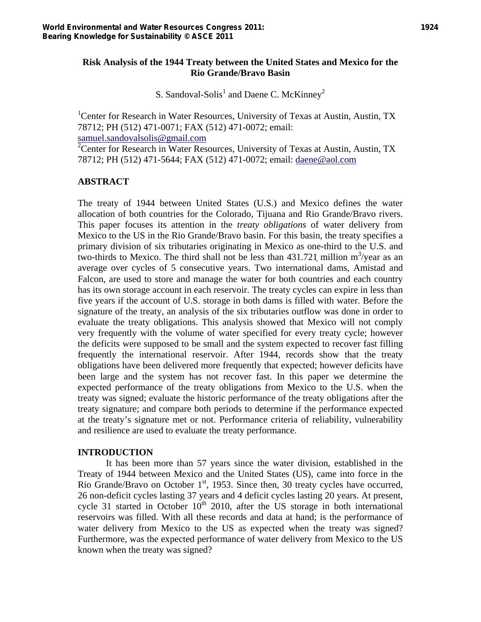## **Risk Analysis of the 1944 Treaty between the United States and Mexico for the Rio Grande/Bravo Basin**

S. Sandoval-Solis<sup>1</sup> and Daene C. McKinney<sup>2</sup>

<sup>1</sup>Center for Research in Water Resources, University of Texas at Austin, Austin, TX 78712; PH (512) 471-0071; FAX (512) 471-0072; email: samuel.sandovalsolis@gmail.com 2 <sup>2</sup> Center for Research in Water Resources, University of Texas at Austin, Austin, TX 78712; PH (512) 471-5644; FAX (512) 471-0072; email: daene@aol.com

# **ABSTRACT**

The treaty of 1944 between United States (U.S.) and Mexico defines the water allocation of both countries for the Colorado, Tijuana and Rio Grande/Bravo rivers. This paper focuses its attention in the *treaty obligations* of water delivery from Mexico to the US in the Rio Grande/Bravo basin. For this basin, the treaty specifies a primary division of six tributaries originating in Mexico as one-third to the U.S. and two-thirds to Mexico. The third shall not be less than  $431.721$  million m<sup>3</sup>/year as an average over cycles of 5 consecutive years. Two international dams, Amistad and Falcon, are used to store and manage the water for both countries and each country has its own storage account in each reservoir. The treaty cycles can expire in less than five years if the account of U.S. storage in both dams is filled with water. Before the signature of the treaty, an analysis of the six tributaries outflow was done in order to evaluate the treaty obligations. This analysis showed that Mexico will not comply very frequently with the volume of water specified for every treaty cycle; however the deficits were supposed to be small and the system expected to recover fast filling frequently the international reservoir. After 1944, records show that the treaty obligations have been delivered more frequently that expected; however deficits have been large and the system has not recover fast. In this paper we determine the expected performance of the treaty obligations from Mexico to the U.S. when the treaty was signed; evaluate the historic performance of the treaty obligations after the treaty signature; and compare both periods to determine if the performance expected at the treaty's signature met or not. Performance criteria of reliability, vulnerability and resilience are used to evaluate the treaty performance.

#### **INTRODUCTION**

It has been more than 57 years since the water division, established in the Treaty of 1944 between Mexico and the United States (US), came into force in the Rio Grande/Bravo on October  $1<sup>st</sup>$ , 1953. Since then, 30 treaty cycles have occurred, 26 non-deficit cycles lasting 37 years and 4 deficit cycles lasting 20 years. At present, cycle 31 started in October  $10<sup>th</sup>$  2010, after the US storage in both international reservoirs was filled. With all these records and data at hand; is the performance of water delivery from Mexico to the US as expected when the treaty was signed? Furthermore, was the expected performance of water delivery from Mexico to the US known when the treaty was signed?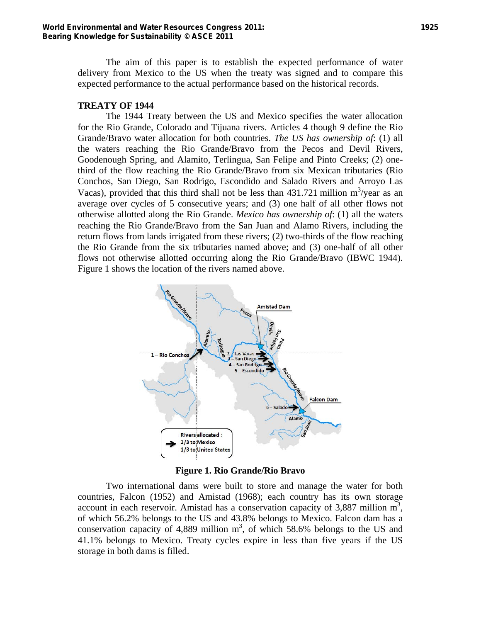The aim of this paper is to establish the expected performance of water delivery from Mexico to the US when the treaty was signed and to compare this expected performance to the actual performance based on the historical records.

#### **TREATY OF 1944**

The 1944 Treaty between the US and Mexico specifies the water allocation for the Rio Grande, Colorado and Tijuana rivers. Articles 4 though 9 define the Rio Grande/Bravo water allocation for both countries. *The US has ownership of*: (1) all the waters reaching the Rio Grande/Bravo from the Pecos and Devil Rivers, Goodenough Spring, and Alamito, Terlingua, San Felipe and Pinto Creeks; (2) onethird of the flow reaching the Rio Grande/Bravo from six Mexican tributaries (Rio Conchos, San Diego, San Rodrigo, Escondido and Salado Rivers and Arroyo Las Vacas), provided that this third shall not be less than  $431.721$  million m<sup>3</sup>/year as an average over cycles of 5 consecutive years; and (3) one half of all other flows not otherwise allotted along the Rio Grande. *Mexico has ownership of*: (1) all the waters reaching the Rio Grande/Bravo from the San Juan and Alamo Rivers, including the return flows from lands irrigated from these rivers; (2) two-thirds of the flow reaching the Rio Grande from the six tributaries named above; and (3) one-half of all other flows not otherwise allotted occurring along the Rio Grande/Bravo (IBWC 1944). Figure 1 shows the location of the rivers named above.



**Figure 1. Rio Grande/Rio Bravo** 

Two international dams were built to store and manage the water for both countries, Falcon (1952) and Amistad (1968); each country has its own storage account in each reservoir. Amistad has a conservation capacity of  $3,887$  million m<sup>3</sup>, of which 56.2% belongs to the US and 43.8% belongs to Mexico. Falcon dam has a conservation capacity of 4,889 million  $m<sup>3</sup>$ , of which 58.6% belongs to the US and 41.1% belongs to Mexico. Treaty cycles expire in less than five years if the US storage in both dams is filled.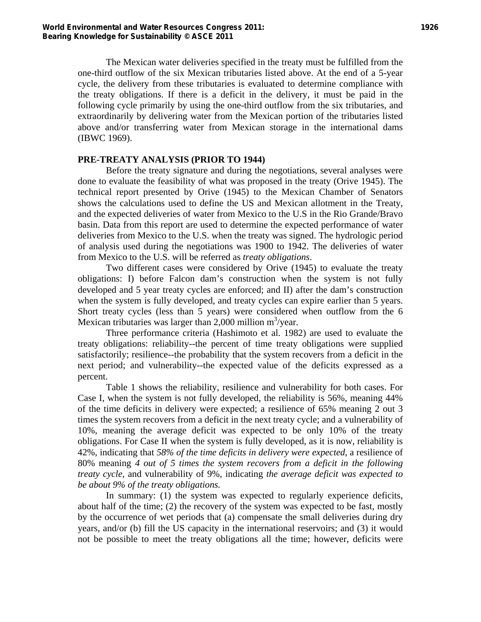The Mexican water deliveries specified in the treaty must be fulfilled from the one-third outflow of the six Mexican tributaries listed above. At the end of a 5-year cycle, the delivery from these tributaries is evaluated to determine compliance with the treaty obligations. If there is a deficit in the delivery, it must be paid in the following cycle primarily by using the one-third outflow from the six tributaries, and extraordinarily by delivering water from the Mexican portion of the tributaries listed above and/or transferring water from Mexican storage in the international dams (IBWC 1969).

#### **PRE-TREATY ANALYSIS (PRIOR TO 1944)**

Before the treaty signature and during the negotiations, several analyses were done to evaluate the feasibility of what was proposed in the treaty (Orive 1945). The technical report presented by Orive (1945) to the Mexican Chamber of Senators shows the calculations used to define the US and Mexican allotment in the Treaty, and the expected deliveries of water from Mexico to the U.S in the Rio Grande/Bravo basin. Data from this report are used to determine the expected performance of water deliveries from Mexico to the U.S. when the treaty was signed. The hydrologic period of analysis used during the negotiations was 1900 to 1942. The deliveries of water from Mexico to the U.S. will be referred as *treaty obligations*.

Two different cases were considered by Orive (1945) to evaluate the treaty obligations: I) before Falcon dam's construction when the system is not fully developed and 5 year treaty cycles are enforced; and II) after the dam's construction when the system is fully developed, and treaty cycles can expire earlier than 5 years. Short treaty cycles (less than 5 years) were considered when outflow from the 6 Mexican tributaries was larger than 2,000 million  $m^3$ /year.

Three performance criteria (Hashimoto et al. 1982) are used to evaluate the treaty obligations: reliability--the percent of time treaty obligations were supplied satisfactorily; resilience--the probability that the system recovers from a deficit in the next period; and vulnerability--the expected value of the deficits expressed as a percent.

Table 1 shows the reliability, resilience and vulnerability for both cases. For Case I, when the system is not fully developed, the reliability is 56%, meaning 44% of the time deficits in delivery were expected; a resilience of 65% meaning 2 out 3 times the system recovers from a deficit in the next treaty cycle; and a vulnerability of 10%, meaning the average deficit was expected to be only 10% of the treaty obligations. For Case II when the system is fully developed, as it is now, reliability is 42%, indicating that *58% of the time deficits in delivery were expected*, a resilience of 80% meaning *4 out of 5 times the system recovers from a deficit in the following treaty cycle*, and vulnerability of 9%, indicating *the average deficit was expected to be about 9% of the treaty obligations.*

In summary: (1) the system was expected to regularly experience deficits, about half of the time; (2) the recovery of the system was expected to be fast, mostly by the occurrence of wet periods that (a) compensate the small deliveries during dry years, and/or (b) fill the US capacity in the international reservoirs; and (3) it would not be possible to meet the treaty obligations all the time; however, deficits were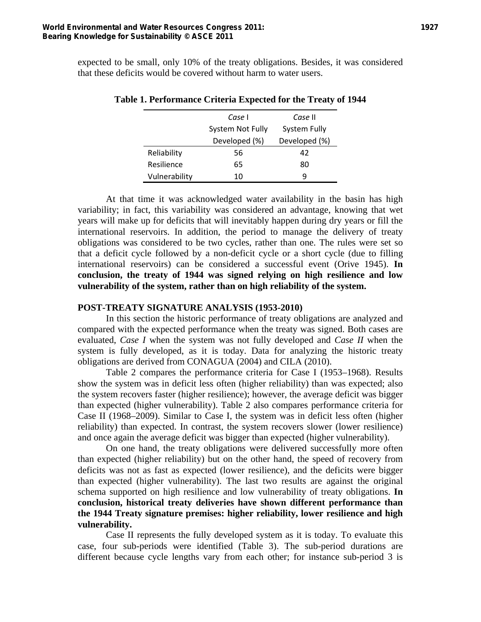expected to be small, only 10% of the treaty obligations. Besides, it was considered that these deficits would be covered without harm to water users.

|               | Case I<br>Case II                |    |
|---------------|----------------------------------|----|
|               | System Not Fully<br>System Fully |    |
|               | Developed (%)<br>Developed (%)   |    |
| Reliability   | 56                               | 42 |
| Resilience    | 65                               | 80 |
| Vulnerability | 10                               | q  |

#### **Table 1. Performance Criteria Expected for the Treaty of 1944**

At that time it was acknowledged water availability in the basin has high variability; in fact, this variability was considered an advantage, knowing that wet years will make up for deficits that will inevitably happen during dry years or fill the international reservoirs. In addition, the period to manage the delivery of treaty obligations was considered to be two cycles, rather than one. The rules were set so that a deficit cycle followed by a non-deficit cycle or a short cycle (due to filling international reservoirs) can be considered a successful event (Orive 1945). **In conclusion, the treaty of 1944 was signed relying on high resilience and low vulnerability of the system, rather than on high reliability of the system.**

#### **POST-TREATY SIGNATURE ANALYSIS (1953-2010)**

In this section the historic performance of treaty obligations are analyzed and compared with the expected performance when the treaty was signed. Both cases are evaluated, *Case I* when the system was not fully developed and *Case II* when the system is fully developed, as it is today. Data for analyzing the historic treaty obligations are derived from CONAGUA (2004) and CILA (2010).

Table 2 compares the performance criteria for Case I (1953–1968). Results show the system was in deficit less often (higher reliability) than was expected; also the system recovers faster (higher resilience); however, the average deficit was bigger than expected (higher vulnerability). Table 2 also compares performance criteria for Case II (1968–2009). Similar to Case I, the system was in deficit less often (higher reliability) than expected. In contrast, the system recovers slower (lower resilience) and once again the average deficit was bigger than expected (higher vulnerability).

On one hand, the treaty obligations were delivered successfully more often than expected (higher reliability) but on the other hand, the speed of recovery from deficits was not as fast as expected (lower resilience), and the deficits were bigger than expected (higher vulnerability). The last two results are against the original schema supported on high resilience and low vulnerability of treaty obligations. **In conclusion, historical treaty deliveries have shown different performance than the 1944 Treaty signature premises: higher reliability, lower resilience and high vulnerability.**

Case II represents the fully developed system as it is today. To evaluate this case, four sub-periods were identified (Table 3). The sub-period durations are different because cycle lengths vary from each other; for instance sub-period 3 is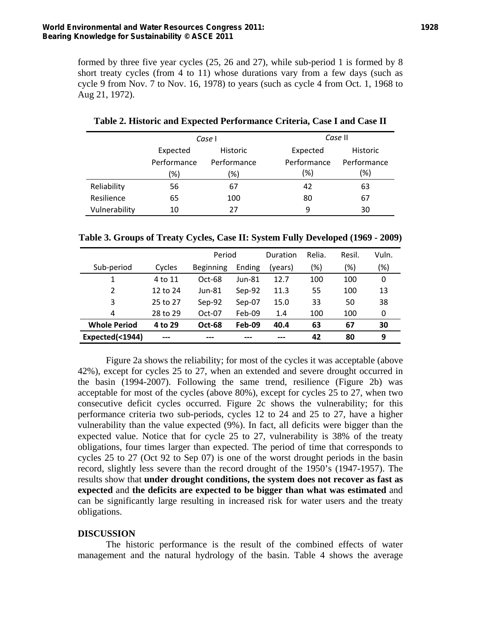formed by three five year cycles (25, 26 and 27), while sub-period 1 is formed by 8 short treaty cycles (from 4 to 11) whose durations vary from a few days (such as cycle 9 from Nov. 7 to Nov. 16, 1978) to years (such as cycle 4 from Oct. 1, 1968 to Aug 21, 1972).

|               |             | Case I      | Case II     |                 |  |
|---------------|-------------|-------------|-------------|-----------------|--|
|               | Expected    | Historic    | Expected    | <b>Historic</b> |  |
|               | Performance | Performance | Performance | Performance     |  |
|               | (%)         | '%)         | (%)         | (%)             |  |
| Reliability   | 56          | 67          | 42          | 63              |  |
| Resilience    | 65          | 100         | 80          | 67              |  |
| Vulnerability | 10          | 27          | 9           | 30              |  |

**Table 2. Historic and Expected Performance Criteria, Case I and Case II** 

| Table 3. Groups of Treaty Cycles, Case II: System Fully Developed (1969 - 2009) |  |  |
|---------------------------------------------------------------------------------|--|--|
|---------------------------------------------------------------------------------|--|--|

|                     |          | Period           |        | Duration | Relia. | Resil. | Vuln. |
|---------------------|----------|------------------|--------|----------|--------|--------|-------|
| Sub-period          | Cycles   | <b>Beginning</b> | Ending | (vears)  | (%)    | (%)    | (%)   |
|                     | 4 to 11  | $Oct-68$         | Jun-81 | 12.7     | 100    | 100    | 0     |
| 2                   | 12 to 24 | $Jun-81$         | Sep-92 | 11.3     | 55     | 100    | 13    |
| 3                   | 25 to 27 | Sep-92           | Sep-07 | 15.0     | 33     | 50     | 38    |
| 4                   | 28 to 29 | $Oct-07$         | Feb-09 | 1.4      | 100    | 100    | 0     |
| <b>Whole Period</b> | 4 to 29  | <b>Oct-68</b>    | Feb-09 | 40.4     | 63     | 67     | 30    |
| Expected(<1944)     | ---      | ---              |        |          | 42     | 80     | 9     |

Figure 2a shows the reliability; for most of the cycles it was acceptable (above 42%), except for cycles 25 to 27, when an extended and severe drought occurred in the basin (1994-2007). Following the same trend, resilience (Figure 2b) was acceptable for most of the cycles (above 80%), except for cycles 25 to 27, when two consecutive deficit cycles occurred. Figure 2c shows the vulnerability; for this performance criteria two sub-periods, cycles 12 to 24 and 25 to 27, have a higher vulnerability than the value expected (9%). In fact, all deficits were bigger than the expected value. Notice that for cycle 25 to 27, vulnerability is 38% of the treaty obligations, four times larger than expected. The period of time that corresponds to cycles 25 to 27 (Oct 92 to Sep 07) is one of the worst drought periods in the basin record, slightly less severe than the record drought of the 1950's (1947-1957). The results show that **under drought conditions, the system does not recover as fast as expected** and **the deficits are expected to be bigger than what was estimated** and can be significantly large resulting in increased risk for water users and the treaty obligations.

#### **DISCUSSION**

The historic performance is the result of the combined effects of water management and the natural hydrology of the basin. Table 4 shows the average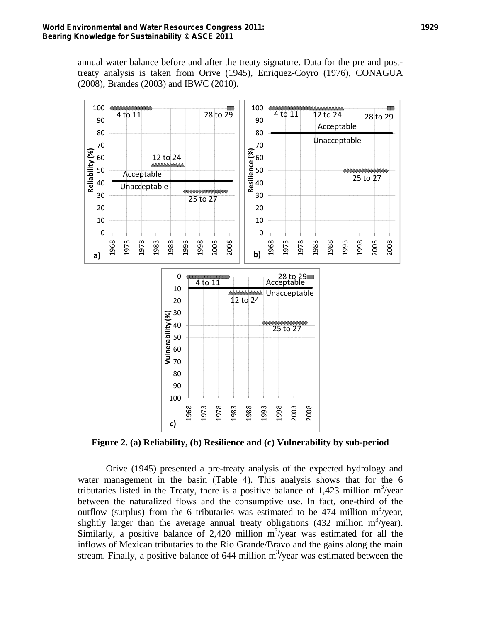annual water balance before and after the treaty signature. Data for the pre and posttreaty analysis is taken from Orive (1945), Enriquez-Coyro (1976), CONAGUA (2008), Brandes (2003) and IBWC (2010).



**Figure 2. (a) Reliability, (b) Resilience and (c) Vulnerability by sub-period** 

Orive (1945) presented a pre-treaty analysis of the expected hydrology and water management in the basin (Table 4). This analysis shows that for the 6 tributaries listed in the Treaty, there is a positive balance of 1,423 million  $m^3$ /year between the naturalized flows and the consumptive use. In fact, one-third of the outflow (surplus) from the 6 tributaries was estimated to be 474 million  $m^3$ /year, slightly larger than the average annual treaty obligations (432 million  $m^3$ /year). Similarly, a positive balance of 2,420 million  $m^3$ /year was estimated for all the inflows of Mexican tributaries to the Rio Grande/Bravo and the gains along the main stream. Finally, a positive balance of million m<sup>3</sup>/year was estimated between the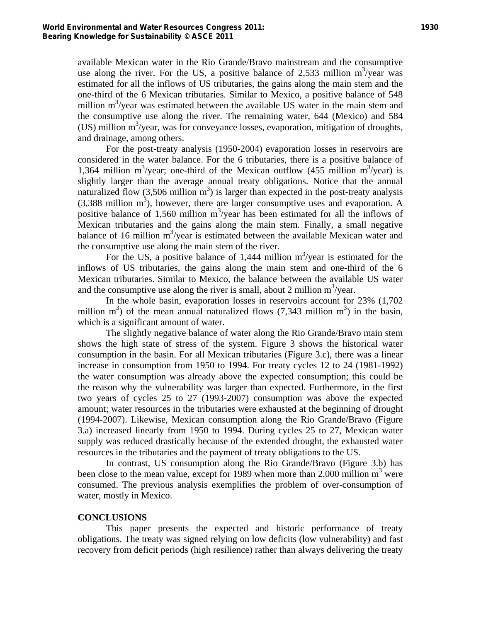available Mexican water in the Rio Grande/Bravo mainstream and the consumptive use along the river. For the US, a positive balance of 2,533 million  $m^3$ /year was estimated for all the inflows of US tributaries, the gains along the main stem and the one-third of the 6 Mexican tributaries. Similar to Mexico, a positive balance of 548 million  $m^3$ /year was estimated between the available US water in the main stem and the consumptive use along the river. The remaining water, 644 (Mexico) and 584 (US) million m<sup>3</sup>/year, was for conveyance losses, evaporation, mitigation of droughts, and drainage, among others.

For the post-treaty analysis (1950-2004) evaporation losses in reservoirs are considered in the water balance. For the 6 tributaries, there is a positive balance of 1,364 million m<sup>3</sup>/year; one-third of the Mexican outflow (455 million m<sup>3</sup>/year) is slightly larger than the average annual treaty obligations. Notice that the annual naturalized flow  $(3,506 \text{ million m}^3)$  is larger than expected in the post-treaty analysis  $(3,388 \text{ million m}^3)$ , however, there are larger consumptive uses and evaporation. A positive balance of 1,560 million  $m^3$ /year has been estimated for all the inflows of Mexican tributaries and the gains along the main stem. Finally, a small negative balance of 16 million m<sup>3</sup>/year is estimated between the available Mexican water and the consumptive use along the main stem of the river.

For the US, a positive balance of 1,444 million  $m^3$ /year is estimated for the inflows of US tributaries, the gains along the main stem and one-third of the 6 Mexican tributaries. Similar to Mexico, the balance between the available US water and the consumptive use along the river is small, about 2 million  $m^3$ /year.

In the whole basin, evaporation losses in reservoirs account for 23% (1,702 million  $m^3$ ) of the mean annual naturalized flows (7,343 million  $m^3$ ) in the basin, which is a significant amount of water.

The slightly negative balance of water along the Rio Grande/Bravo main stem shows the high state of stress of the system. Figure 3 shows the historical water consumption in the basin. For all Mexican tributaries (Figure 3.c), there was a linear increase in consumption from 1950 to 1994. For treaty cycles 12 to 24 (1981-1992) the water consumption was already above the expected consumption; this could be the reason why the vulnerability was larger than expected. Furthermore, in the first two years of cycles 25 to 27 (1993-2007) consumption was above the expected amount; water resources in the tributaries were exhausted at the beginning of drought (1994-2007). Likewise, Mexican consumption along the Rio Grande/Bravo (Figure 3.a) increased linearly from 1950 to 1994. During cycles 25 to 27, Mexican water supply was reduced drastically because of the extended drought, the exhausted water resources in the tributaries and the payment of treaty obligations to the US.

In contrast, US consumption along the Rio Grande/Bravo (Figure 3.b) has been close to the mean value, except for 1989 when more than 2,000 million  $m^3$  were consumed. The previous analysis exemplifies the problem of over-consumption of water, mostly in Mexico.

#### **CONCLUSIONS**

This paper presents the expected and historic performance of treaty obligations. The treaty was signed relying on low deficits (low vulnerability) and fast recovery from deficit periods (high resilience) rather than always delivering the treaty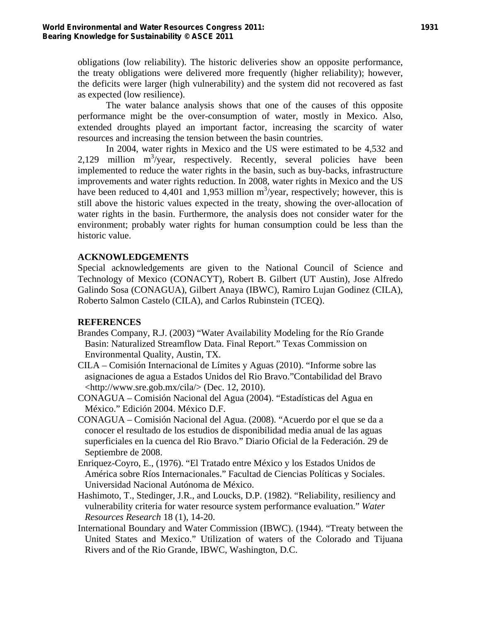obligations (low reliability). The historic deliveries show an opposite performance, the treaty obligations were delivered more frequently (higher reliability); however, the deficits were larger (high vulnerability) and the system did not recovered as fast as expected (low resilience).

The water balance analysis shows that one of the causes of this opposite performance might be the over-consumption of water, mostly in Mexico. Also, extended droughts played an important factor, increasing the scarcity of water resources and increasing the tension between the basin countries.

In 2004, water rights in Mexico and the US were estimated to be 4,532 and  $2,129$  million m<sup>3</sup>/year, respectively. Recently, several policies have been implemented to reduce the water rights in the basin, such as buy-backs, infrastructure improvements and water rights reduction. In 2008, water rights in Mexico and the US have been reduced to 4,401 and 1,953 million  $m^3$ /year, respectively; however, this is still above the historic values expected in the treaty, showing the over-allocation of water rights in the basin. Furthermore, the analysis does not consider water for the environment; probably water rights for human consumption could be less than the historic value.

### **ACKNOWLEDGEMENTS**

Special acknowledgements are given to the National Council of Science and Technology of Mexico (CONACYT), Robert B. Gilbert (UT Austin), Jose Alfredo Galindo Sosa (CONAGUA), Gilbert Anaya (IBWC), Ramiro Lujan Godinez (CILA), Roberto Salmon Castelo (CILA), and Carlos Rubinstein (TCEQ).

#### **REFERENCES**

- Brandes Company, R.J. (2003) "Water Availability Modeling for the Río Grande Basin: Naturalized Streamflow Data. Final Report." Texas Commission on Environmental Quality, Austin, TX.
- CILA Comisión Internacional de Límites y Aguas (2010). "Informe sobre las asignaciones de agua a Estados Unidos del Rio Bravo."Contabilidad del Bravo  $\langle \text{http://www.sre.gov.mx/cila/} \rangle$  (Dec. 12, 2010).
- CONAGUA Comisión Nacional del Agua (2004). "Estadísticas del Agua en México." Edición 2004. México D.F.
- CONAGUA Comisión Nacional del Agua. (2008). "Acuerdo por el que se da a conocer el resultado de los estudios de disponibilidad media anual de las aguas superficiales en la cuenca del Rio Bravo." Diario Oficial de la Federación. 29 de Septiembre de 2008.
- Enriquez-Coyro, E., (1976). "El Tratado entre México y los Estados Unidos de América sobre Ríos Internacionales." Facultad de Ciencias Políticas y Sociales. Universidad Nacional Autónoma de México.
- Hashimoto, T., Stedinger, J.R., and Loucks, D.P. (1982). "Reliability, resiliency and vulnerability criteria for water resource system performance evaluation." *Water Resources Research* 18 (1), 14-20.
- International Boundary and Water Commission (IBWC). (1944). "Treaty between the United States and Mexico." Utilization of waters of the Colorado and Tijuana Rivers and of the Rio Grande, IBWC, Washington, D.C.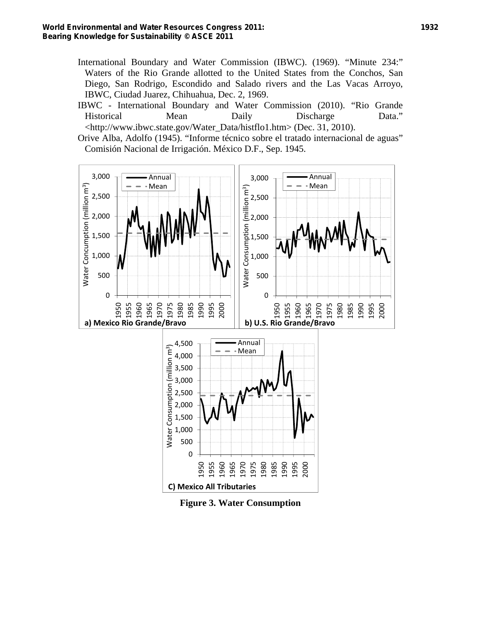- International Boundary and Water Commission (IBWC). (1969). "Minute 234:" Waters of the Rio Grande allotted to the United States from the Conchos, San Diego, San Rodrigo, Escondido and Salado rivers and the Las Vacas Arroyo, IBWC, Ciudad Juarez, Chihuahua, Dec. 2, 1969.
- IBWC International Boundary and Water Commission (2010). "Rio Grande Historical Mean Daily Discharge Data." <http://www.ibwc.state.gov/Water\_Data/histflo1.htm> (Dec. 31, 2010).
- Orive Alba, Adolfo (1945). "Informe técnico sobre el tratado internacional de aguas" Comisión Nacional de Irrigación. México D.F., Sep. 1945.



**Figure 3. Water Consumption**